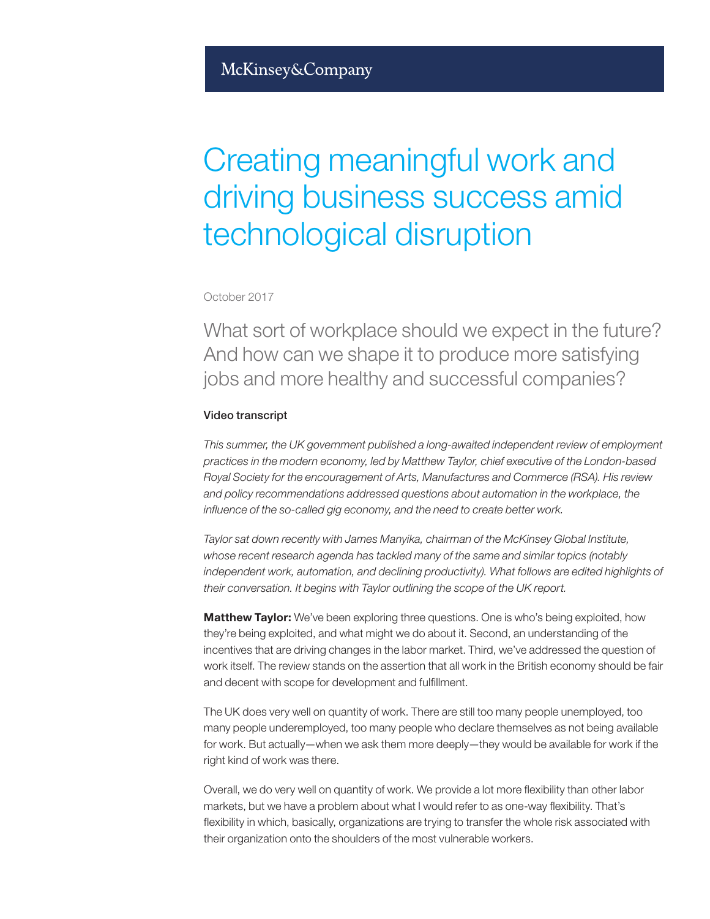# Creating meaningful work and driving business success amid technological disruption

## October 2017

What sort of workplace should we expect in the future? And how can we shape it to produce more satisfying jobs and more healthy and successful companies?

### Video transcript

*This summer, the UK government published a long-awaited independent review of employment practices in the modern economy, led by Matthew Taylor, chief executive of the London-based Royal Society for the encouragement of Arts, Manufactures and Commerce (RSA). His review and policy recommendations addressed questions about automation in the workplace, the influence of the so-called gig economy, and the need to create better work.* 

*Taylor sat down recently with James Manyika, chairman of the McKinsey Global Institute, whose recent research agenda has tackled many of the same and similar topics (notably*  independent work, automation, and declining productivity). What follows are edited highlights of *their conversation. It begins with Taylor outlining the scope of the UK report.* 

**Matthew Taylor:** We've been exploring three questions. One is who's being exploited, how they're being exploited, and what might we do about it. Second, an understanding of the incentives that are driving changes in the labor market. Third, we've addressed the question of work itself. The review stands on the assertion that all work in the British economy should be fair and decent with scope for development and fulfillment.

The UK does very well on quantity of work. There are still too many people unemployed, too many people underemployed, too many people who declare themselves as not being available for work. But actually—when we ask them more deeply—they would be available for work if the right kind of work was there.

Overall, we do very well on quantity of work. We provide a lot more flexibility than other labor markets, but we have a problem about what I would refer to as one-way flexibility. That's flexibility in which, basically, organizations are trying to transfer the whole risk associated with their organization onto the shoulders of the most vulnerable workers.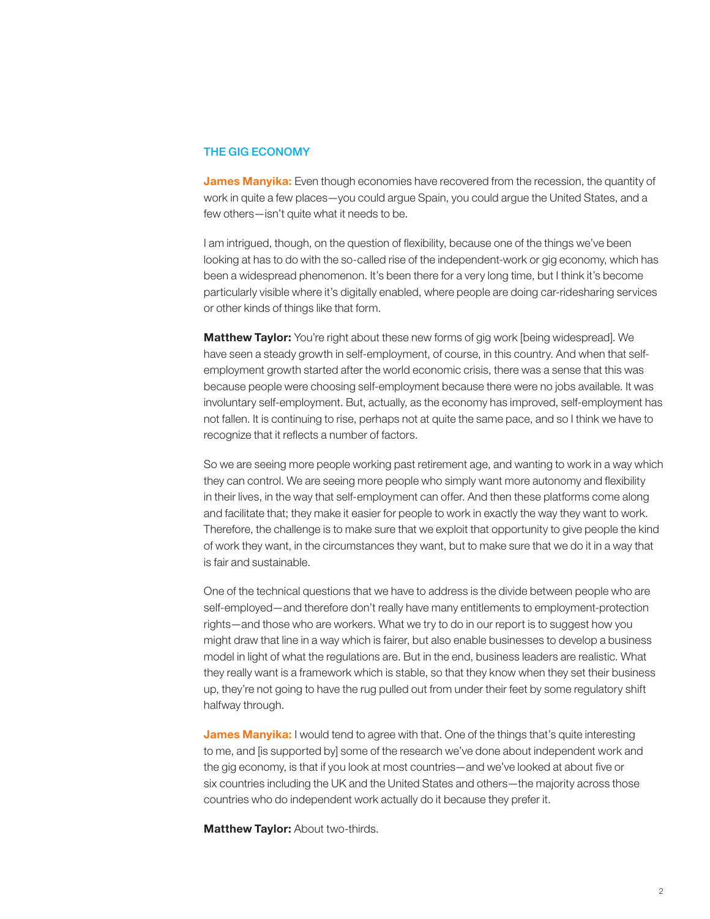#### THE GIG ECONOMY

James Manyika: Even though economies have recovered from the recession, the quantity of work in quite a few places—you could argue Spain, you could argue the United States, and a few others—isn't quite what it needs to be.

I am intrigued, though, on the question of flexibility, because one of the things we've been looking at has to do with the so-called rise of the independent-work or gig economy, which has been a widespread phenomenon. It's been there for a very long time, but I think it's become particularly visible where it's digitally enabled, where people are doing car-ridesharing services or other kinds of things like that form.

Matthew Taylor: You're right about these new forms of gig work [being widespread]. We have seen a steady growth in self-employment, of course, in this country. And when that selfemployment growth started after the world economic crisis, there was a sense that this was because people were choosing self-employment because there were no jobs available. It was involuntary self-employment. But, actually, as the economy has improved, self-employment has not fallen. It is continuing to rise, perhaps not at quite the same pace, and so I think we have to recognize that it reflects a number of factors.

So we are seeing more people working past retirement age, and wanting to work in a way which they can control. We are seeing more people who simply want more autonomy and flexibility in their lives, in the way that self-employment can offer. And then these platforms come along and facilitate that; they make it easier for people to work in exactly the way they want to work. Therefore, the challenge is to make sure that we exploit that opportunity to give people the kind of work they want, in the circumstances they want, but to make sure that we do it in a way that is fair and sustainable.

One of the technical questions that we have to address is the divide between people who are self-employed—and therefore don't really have many entitlements to employment-protection rights—and those who are workers. What we try to do in our report is to suggest how you might draw that line in a way which is fairer, but also enable businesses to develop a business model in light of what the regulations are. But in the end, business leaders are realistic. What they really want is a framework which is stable, so that they know when they set their business up, they're not going to have the rug pulled out from under their feet by some regulatory shift halfway through.

**James Manyika:** I would tend to agree with that. One of the things that's quite interesting to me, and [is supported by] some of the research we've done about independent work and the gig economy, is that if you look at most countries—and we've looked at about five or six countries including the UK and the United States and others—the majority across those countries who do independent work actually do it because they prefer it.

**Matthew Taylor: About two-thirds.**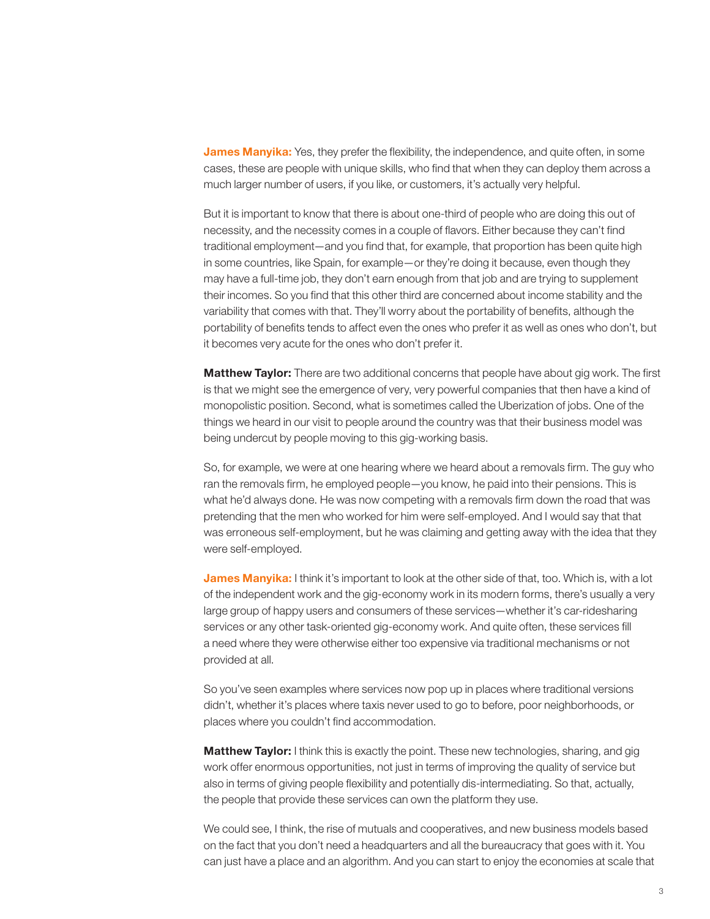James Manyika: Yes, they prefer the flexibility, the independence, and quite often, in some cases, these are people with unique skills, who find that when they can deploy them across a much larger number of users, if you like, or customers, it's actually very helpful.

But it is important to know that there is about one-third of people who are doing this out of necessity, and the necessity comes in a couple of flavors. Either because they can't find traditional employment—and you find that, for example, that proportion has been quite high in some countries, like Spain, for example—or they're doing it because, even though they may have a full-time job, they don't earn enough from that job and are trying to supplement their incomes. So you find that this other third are concerned about income stability and the variability that comes with that. They'll worry about the portability of benefits, although the portability of benefits tends to affect even the ones who prefer it as well as ones who don't, but it becomes very acute for the ones who don't prefer it.

**Matthew Taylor:** There are two additional concerns that people have about gig work. The first is that we might see the emergence of very, very powerful companies that then have a kind of monopolistic position. Second, what is sometimes called the Uberization of jobs. One of the things we heard in our visit to people around the country was that their business model was being undercut by people moving to this gig-working basis.

So, for example, we were at one hearing where we heard about a removals firm. The guy who ran the removals firm, he employed people—you know, he paid into their pensions. This is what he'd always done. He was now competing with a removals firm down the road that was pretending that the men who worked for him were self-employed. And I would say that that was erroneous self-employment, but he was claiming and getting away with the idea that they were self-employed.

**James Manyika:** I think it's important to look at the other side of that, too. Which is, with a lot of the independent work and the gig-economy work in its modern forms, there's usually a very large group of happy users and consumers of these services—whether it's car-ridesharing services or any other task-oriented gig-economy work. And quite often, these services fill a need where they were otherwise either too expensive via traditional mechanisms or not provided at all.

So you've seen examples where services now pop up in places where traditional versions didn't, whether it's places where taxis never used to go to before, poor neighborhoods, or places where you couldn't find accommodation.

**Matthew Taylor:** I think this is exactly the point. These new technologies, sharing, and gig work offer enormous opportunities, not just in terms of improving the quality of service but also in terms of giving people flexibility and potentially dis-intermediating. So that, actually, the people that provide these services can own the platform they use.

We could see, I think, the rise of mutuals and cooperatives, and new business models based on the fact that you don't need a headquarters and all the bureaucracy that goes with it. You can just have a place and an algorithm. And you can start to enjoy the economies at scale that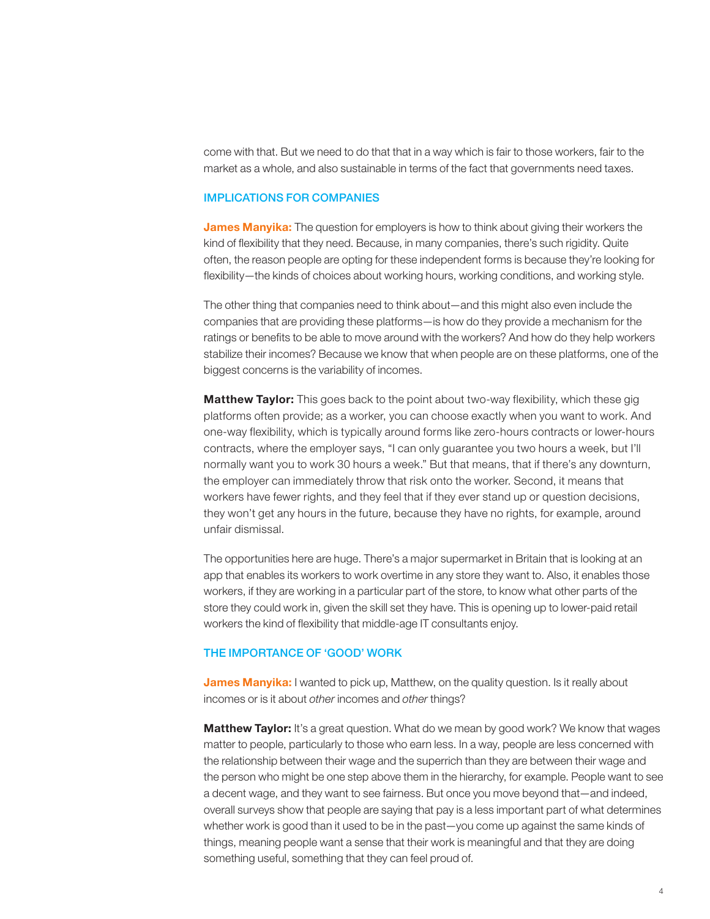come with that. But we need to do that that in a way which is fair to those workers, fair to the market as a whole, and also sustainable in terms of the fact that governments need taxes.

### IMPLICATIONS FOR COMPANIES

**James Manyika:** The question for employers is how to think about giving their workers the kind of flexibility that they need. Because, in many companies, there's such rigidity. Quite often, the reason people are opting for these independent forms is because they're looking for flexibility—the kinds of choices about working hours, working conditions, and working style.

The other thing that companies need to think about—and this might also even include the companies that are providing these platforms—is how do they provide a mechanism for the ratings or benefits to be able to move around with the workers? And how do they help workers stabilize their incomes? Because we know that when people are on these platforms, one of the biggest concerns is the variability of incomes.

**Matthew Taylor:** This goes back to the point about two-way flexibility, which these gig platforms often provide; as a worker, you can choose exactly when you want to work. And one-way flexibility, which is typically around forms like zero-hours contracts or lower-hours contracts, where the employer says, "I can only guarantee you two hours a week, but I'll normally want you to work 30 hours a week." But that means, that if there's any downturn, the employer can immediately throw that risk onto the worker. Second, it means that workers have fewer rights, and they feel that if they ever stand up or question decisions, they won't get any hours in the future, because they have no rights, for example, around unfair dismissal.

The opportunities here are huge. There's a major supermarket in Britain that is looking at an app that enables its workers to work overtime in any store they want to. Also, it enables those workers, if they are working in a particular part of the store, to know what other parts of the store they could work in, given the skill set they have. This is opening up to lower-paid retail workers the kind of flexibility that middle-age IT consultants enjoy.

#### THE IMPORTANCE OF 'GOOD' WORK

James Manyika: I wanted to pick up, Matthew, on the quality question. Is it really about incomes or is it about *other* incomes and *other* things?

**Matthew Taylor:** It's a great question. What do we mean by good work? We know that wages matter to people, particularly to those who earn less. In a way, people are less concerned with the relationship between their wage and the superrich than they are between their wage and the person who might be one step above them in the hierarchy, for example. People want to see a decent wage, and they want to see fairness. But once you move beyond that—and indeed, overall surveys show that people are saying that pay is a less important part of what determines whether work is good than it used to be in the past—you come up against the same kinds of things, meaning people want a sense that their work is meaningful and that they are doing something useful, something that they can feel proud of.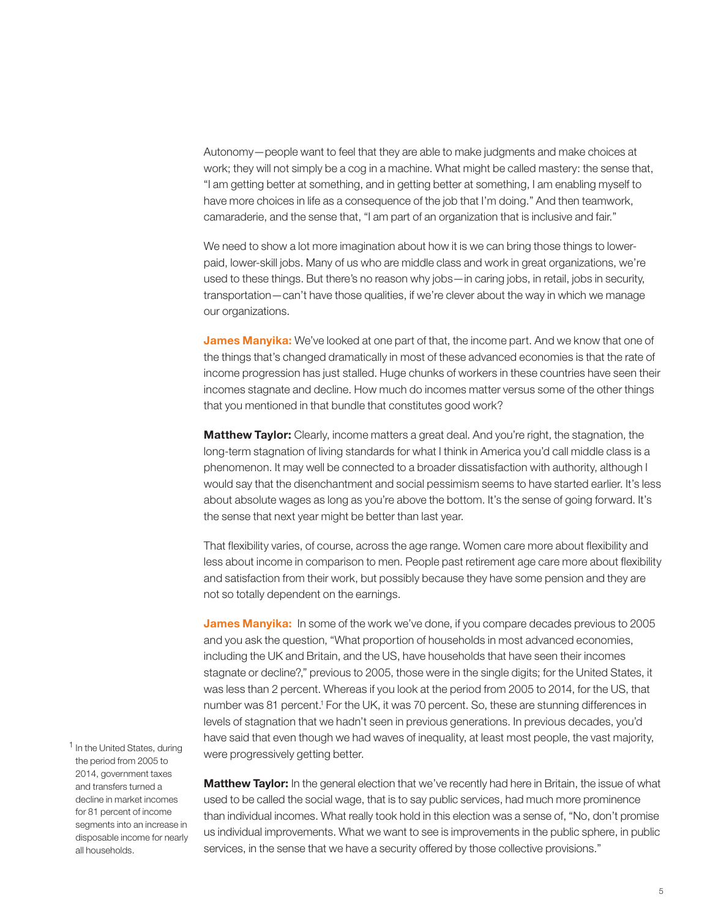Autonomy—people want to feel that they are able to make judgments and make choices at work; they will not simply be a cog in a machine. What might be called mastery: the sense that, "I am getting better at something, and in getting better at something, I am enabling myself to have more choices in life as a consequence of the job that I'm doing." And then teamwork, camaraderie, and the sense that, "I am part of an organization that is inclusive and fair."

We need to show a lot more imagination about how it is we can bring those things to lowerpaid, lower-skill jobs. Many of us who are middle class and work in great organizations, we're used to these things. But there's no reason why jobs—in caring jobs, in retail, jobs in security, transportation—can't have those qualities, if we're clever about the way in which we manage our organizations.

James Manyika: We've looked at one part of that, the income part. And we know that one of the things that's changed dramatically in most of these advanced economies is that the rate of income progression has just stalled. Huge chunks of workers in these countries have seen their incomes stagnate and decline. How much do incomes matter versus some of the other things that you mentioned in that bundle that constitutes good work?

**Matthew Taylor:** Clearly, income matters a great deal. And you're right, the stagnation, the long-term stagnation of living standards for what I think in America you'd call middle class is a phenomenon. It may well be connected to a broader dissatisfaction with authority, although I would say that the disenchantment and social pessimism seems to have started earlier. It's less about absolute wages as long as you're above the bottom. It's the sense of going forward. It's the sense that next year might be better than last year.

That flexibility varies, of course, across the age range. Women care more about flexibility and less about income in comparison to men. People past retirement age care more about flexibility and satisfaction from their work, but possibly because they have some pension and they are not so totally dependent on the earnings.

James Manyika: In some of the work we've done, if you compare decades previous to 2005 and you ask the question, "What proportion of households in most advanced economies, including the UK and Britain, and the US, have households that have seen their incomes stagnate or decline?," previous to 2005, those were in the single digits; for the United States, it was less than 2 percent. Whereas if you look at the period from 2005 to 2014, for the US, that number was 81 percent.<sup>1</sup> For the UK, it was 70 percent. So, these are stunning differences in levels of stagnation that we hadn't seen in previous generations. In previous decades, you'd have said that even though we had waves of inequality, at least most people, the vast majority, were progressively getting better.

<sup>1</sup> In the United States, during the period from 2005 to 2014, government taxes and transfers turned a decline in market incomes for 81 percent of income segments into an increase in disposable income for nearly all households.

Matthew Taylor: In the general election that we've recently had here in Britain, the issue of what used to be called the social wage, that is to say public services, had much more prominence than individual incomes. What really took hold in this election was a sense of, "No, don't promise us individual improvements. What we want to see is improvements in the public sphere, in public services, in the sense that we have a security offered by those collective provisions."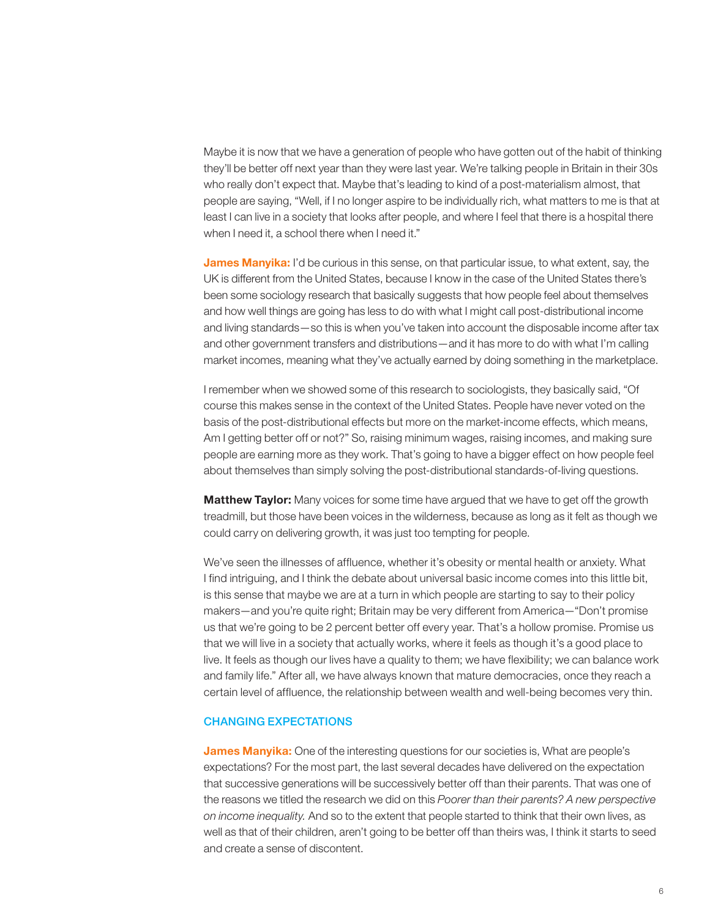Maybe it is now that we have a generation of people who have gotten out of the habit of thinking they'll be better off next year than they were last year. We're talking people in Britain in their 30s who really don't expect that. Maybe that's leading to kind of a post-materialism almost, that people are saying, "Well, if I no longer aspire to be individually rich, what matters to me is that at least I can live in a society that looks after people, and where I feel that there is a hospital there when I need it, a school there when I need it."

James Manyika: I'd be curious in this sense, on that particular issue, to what extent, say, the UK is different from the United States, because I know in the case of the United States there's been some sociology research that basically suggests that how people feel about themselves and how well things are going has less to do with what I might call post-distributional income and living standards—so this is when you've taken into account the disposable income after tax and other government transfers and distributions—and it has more to do with what I'm calling market incomes, meaning what they've actually earned by doing something in the marketplace.

I remember when we showed some of this research to sociologists, they basically said, "Of course this makes sense in the context of the United States. People have never voted on the basis of the post-distributional effects but more on the market-income effects, which means, Am I getting better off or not?" So, raising minimum wages, raising incomes, and making sure people are earning more as they work. That's going to have a bigger effect on how people feel about themselves than simply solving the post-distributional standards-of-living questions.

**Matthew Taylor:** Many voices for some time have argued that we have to get off the growth treadmill, but those have been voices in the wilderness, because as long as it felt as though we could carry on delivering growth, it was just too tempting for people.

We've seen the illnesses of affluence, whether it's obesity or mental health or anxiety. What I find intriguing, and I think the debate about universal basic income comes into this little bit, is this sense that maybe we are at a turn in which people are starting to say to their policy makers—and you're quite right; Britain may be very different from America—"Don't promise us that we're going to be 2 percent better off every year. That's a hollow promise. Promise us that we will live in a society that actually works, where it feels as though it's a good place to live. It feels as though our lives have a quality to them; we have flexibility; we can balance work and family life." After all, we have always known that mature democracies, once they reach a certain level of affluence, the relationship between wealth and well-being becomes very thin.

### CHANGING EXPECTATIONS

**James Manyika:** One of the interesting questions for our societies is, What are people's expectations? For the most part, the last several decades have delivered on the expectation that successive generations will be successively better off than their parents. That was one of the reasons we titled the research we did on this *Poorer than their parents? A new perspective on income inequality.* And so to the extent that people started to think that their own lives, as well as that of their children, aren't going to be better off than theirs was, I think it starts to seed and create a sense of discontent.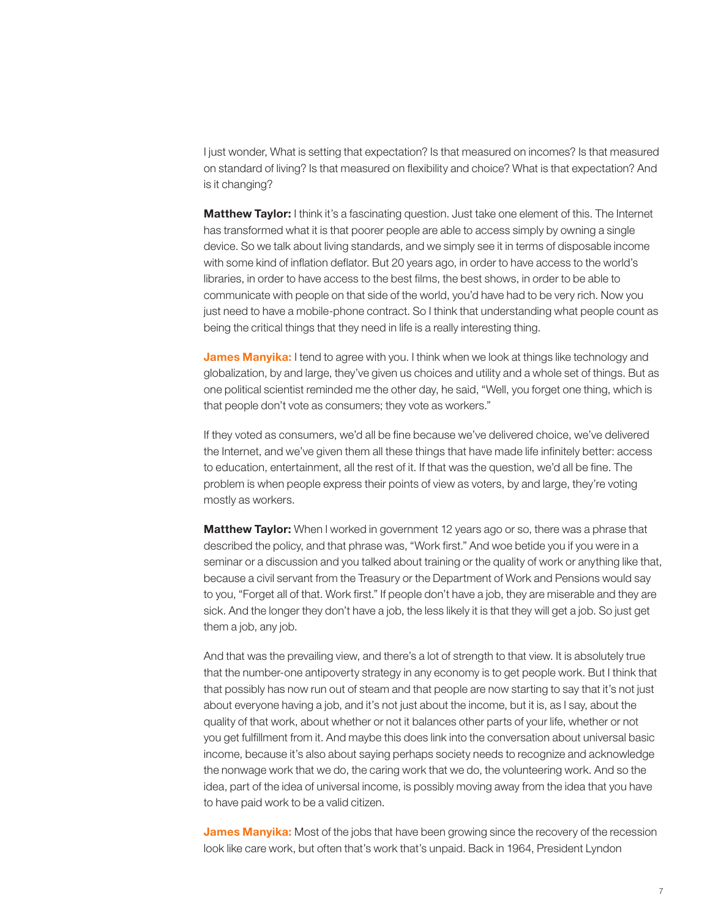I just wonder, What is setting that expectation? Is that measured on incomes? Is that measured on standard of living? Is that measured on flexibility and choice? What is that expectation? And is it changing?

**Matthew Taylor:** I think it's a fascinating question. Just take one element of this. The Internet has transformed what it is that poorer people are able to access simply by owning a single device. So we talk about living standards, and we simply see it in terms of disposable income with some kind of inflation deflator. But 20 years ago, in order to have access to the world's libraries, in order to have access to the best films, the best shows, in order to be able to communicate with people on that side of the world, you'd have had to be very rich. Now you just need to have a mobile-phone contract. So I think that understanding what people count as being the critical things that they need in life is a really interesting thing.

James Manyika: I tend to agree with you. I think when we look at things like technology and globalization, by and large, they've given us choices and utility and a whole set of things. But as one political scientist reminded me the other day, he said, "Well, you forget one thing, which is that people don't vote as consumers; they vote as workers."

If they voted as consumers, we'd all be fine because we've delivered choice, we've delivered the Internet, and we've given them all these things that have made life infinitely better: access to education, entertainment, all the rest of it. If that was the question, we'd all be fine. The problem is when people express their points of view as voters, by and large, they're voting mostly as workers.

**Matthew Taylor:** When I worked in government 12 years ago or so, there was a phrase that described the policy, and that phrase was, "Work first." And woe betide you if you were in a seminar or a discussion and you talked about training or the quality of work or anything like that, because a civil servant from the Treasury or the Department of Work and Pensions would say to you, "Forget all of that. Work first." If people don't have a job, they are miserable and they are sick. And the longer they don't have a job, the less likely it is that they will get a job. So just get them a job, any job.

And that was the prevailing view, and there's a lot of strength to that view. It is absolutely true that the number-one antipoverty strategy in any economy is to get people work. But I think that that possibly has now run out of steam and that people are now starting to say that it's not just about everyone having a job, and it's not just about the income, but it is, as I say, about the quality of that work, about whether or not it balances other parts of your life, whether or not you get fulfillment from it. And maybe this does link into the conversation about universal basic income, because it's also about saying perhaps society needs to recognize and acknowledge the nonwage work that we do, the caring work that we do, the volunteering work. And so the idea, part of the idea of universal income, is possibly moving away from the idea that you have to have paid work to be a valid citizen.

**James Manyika:** Most of the jobs that have been growing since the recovery of the recession look like care work, but often that's work that's unpaid. Back in 1964, President Lyndon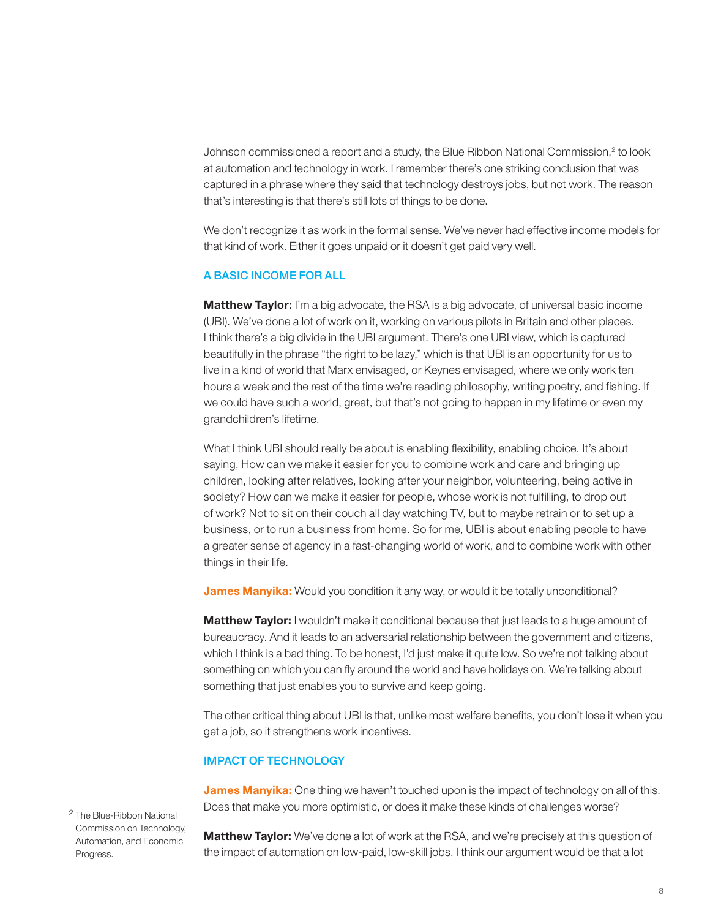Johnson commissioned a report and a study, the Blue Ribbon National Commission, $2$  to look at automation and technology in work. I remember there's one striking conclusion that was captured in a phrase where they said that technology destroys jobs, but not work. The reason that's interesting is that there's still lots of things to be done.

We don't recognize it as work in the formal sense. We've never had effective income models for that kind of work. Either it goes unpaid or it doesn't get paid very well.

### A BASIC INCOME FOR ALL

**Matthew Taylor:** I'm a big advocate, the RSA is a big advocate, of universal basic income (UBI). We've done a lot of work on it, working on various pilots in Britain and other places. I think there's a big divide in the UBI argument. There's one UBI view, which is captured beautifully in the phrase "the right to be lazy," which is that UBI is an opportunity for us to live in a kind of world that Marx envisaged, or Keynes envisaged, where we only work ten hours a week and the rest of the time we're reading philosophy, writing poetry, and fishing. If we could have such a world, great, but that's not going to happen in my lifetime or even my grandchildren's lifetime.

What I think UBI should really be about is enabling flexibility, enabling choice. It's about saying, How can we make it easier for you to combine work and care and bringing up children, looking after relatives, looking after your neighbor, volunteering, being active in society? How can we make it easier for people, whose work is not fulfilling, to drop out of work? Not to sit on their couch all day watching TV, but to maybe retrain or to set up a business, or to run a business from home. So for me, UBI is about enabling people to have a greater sense of agency in a fast-changing world of work, and to combine work with other things in their life.

**James Manyika:** Would you condition it any way, or would it be totally unconditional?

**Matthew Taylor:** I wouldn't make it conditional because that just leads to a huge amount of bureaucracy. And it leads to an adversarial relationship between the government and citizens, which I think is a bad thing. To be honest, I'd just make it quite low. So we're not talking about something on which you can fly around the world and have holidays on. We're talking about something that just enables you to survive and keep going.

The other critical thing about UBI is that, unlike most welfare benefits, you don't lose it when you get a job, so it strengthens work incentives.

## IMPACT OF TECHNOLOGY

James Manyika: One thing we haven't touched upon is the impact of technology on all of this. Does that make you more optimistic, or does it make these kinds of challenges worse?

<sup>2</sup> The Blue-Ribbon National Commission on Technology, Automation, and Economic Progress.

**Matthew Taylor:** We've done a lot of work at the RSA, and we're precisely at this question of the impact of automation on low-paid, low-skill jobs. I think our argument would be that a lot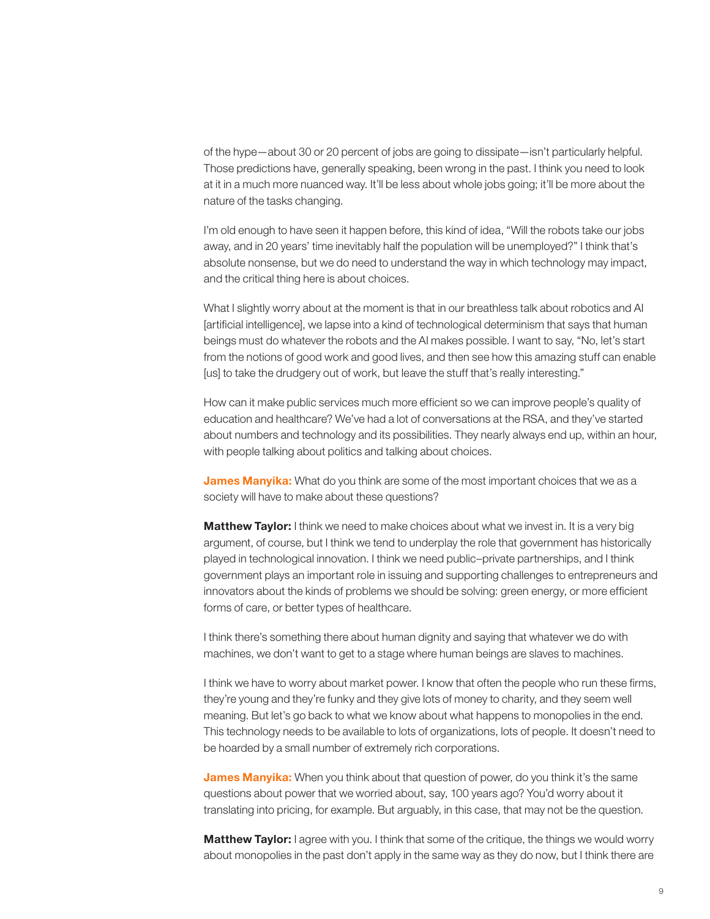of the hype—about 30 or 20 percent of jobs are going to dissipate—isn't particularly helpful. Those predictions have, generally speaking, been wrong in the past. I think you need to look at it in a much more nuanced way. It'll be less about whole jobs going; it'll be more about the nature of the tasks changing.

I'm old enough to have seen it happen before, this kind of idea, "Will the robots take our jobs away, and in 20 years' time inevitably half the population will be unemployed?" I think that's absolute nonsense, but we do need to understand the way in which technology may impact, and the critical thing here is about choices.

What I slightly worry about at the moment is that in our breathless talk about robotics and AI [artificial intelligence], we lapse into a kind of technological determinism that says that human beings must do whatever the robots and the AI makes possible. I want to say, "No, let's start from the notions of good work and good lives, and then see how this amazing stuff can enable [us] to take the drudgery out of work, but leave the stuff that's really interesting."

How can it make public services much more efficient so we can improve people's quality of education and healthcare? We've had a lot of conversations at the RSA, and they've started about numbers and technology and its possibilities. They nearly always end up, within an hour, with people talking about politics and talking about choices.

**James Manyika:** What do you think are some of the most important choices that we as a society will have to make about these questions?

**Matthew Taylor:** I think we need to make choices about what we invest in. It is a very big argument, of course, but I think we tend to underplay the role that government has historically played in technological innovation. I think we need public–private partnerships, and I think government plays an important role in issuing and supporting challenges to entrepreneurs and innovators about the kinds of problems we should be solving: green energy, or more efficient forms of care, or better types of healthcare.

I think there's something there about human dignity and saying that whatever we do with machines, we don't want to get to a stage where human beings are slaves to machines.

I think we have to worry about market power. I know that often the people who run these firms, they're young and they're funky and they give lots of money to charity, and they seem well meaning. But let's go back to what we know about what happens to monopolies in the end. This technology needs to be available to lots of organizations, lots of people. It doesn't need to be hoarded by a small number of extremely rich corporations.

**James Manyika:** When you think about that question of power, do you think it's the same questions about power that we worried about, say, 100 years ago? You'd worry about it translating into pricing, for example. But arguably, in this case, that may not be the question.

**Matthew Taylor:** I agree with you. I think that some of the critique, the things we would worry about monopolies in the past don't apply in the same way as they do now, but I think there are